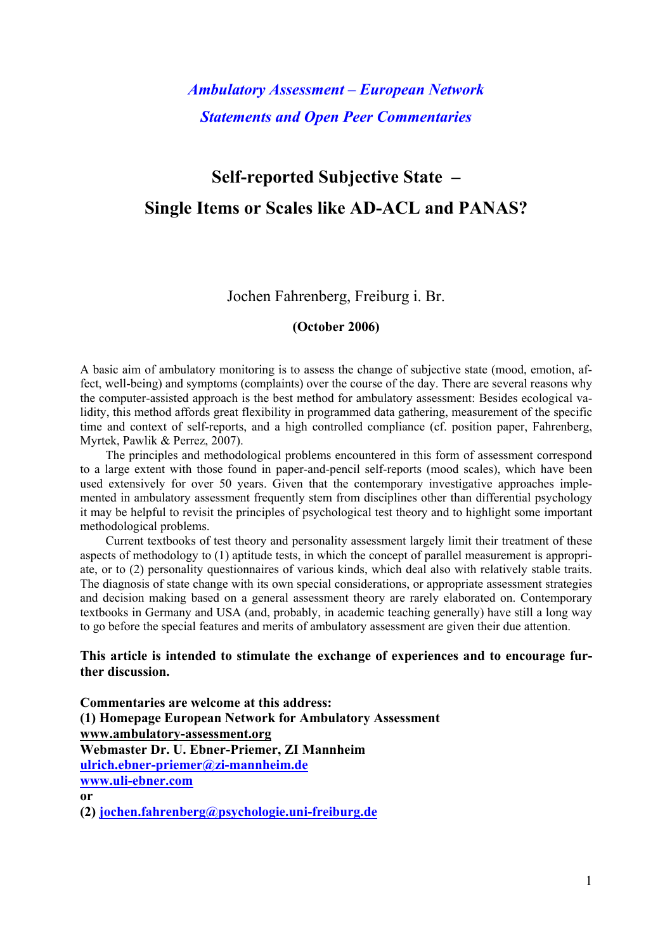*Ambulatory Assessment – European Network Statements and Open Peer Commentaries* 

# **Self-reported Subjective State – Single Items or Scales like AD-ACL and PANAS?**

Jochen Fahrenberg, Freiburg i. Br.

#### **(October 2006)**

A basic aim of ambulatory monitoring is to assess the change of subjective state (mood, emotion, affect, well-being) and symptoms (complaints) over the course of the day. There are several reasons why the computer-assisted approach is the best method for ambulatory assessment: Besides ecological validity, this method affords great flexibility in programmed data gathering, measurement of the specific time and context of self-reports, and a high controlled compliance (cf. position paper, Fahrenberg, Myrtek, Pawlik & Perrez, 2007).

The principles and methodological problems encountered in this form of assessment correspond to a large extent with those found in paper-and-pencil self-reports (mood scales), which have been used extensively for over 50 years. Given that the contemporary investigative approaches implemented in ambulatory assessment frequently stem from disciplines other than differential psychology it may be helpful to revisit the principles of psychological test theory and to highlight some important methodological problems.

Current textbooks of test theory and personality assessment largely limit their treatment of these aspects of methodology to (1) aptitude tests, in which the concept of parallel measurement is appropriate, or to (2) personality questionnaires of various kinds, which deal also with relatively stable traits. The diagnosis of state change with its own special considerations, or appropriate assessment strategies and decision making based on a general assessment theory are rarely elaborated on. Contemporary textbooks in Germany and USA (and, probably, in academic teaching generally) have still a long way to go before the special features and merits of ambulatory assessment are given their due attention.

### **This article is intended to stimulate the exchange of experiences and to encourage further discussion.**

**Commentaries are welcome at this address: (1) Homepage European Network for Ambulatory Assessment [www.ambulatory-assessment.org](http://www.ambulatory-assessment.org/) Webmaster Dr. U. Ebner-Priemer, ZI Mannheim [ulrich.ebner-priemer@zi-mannheim.de](mailto:ulrich.ebner-priemer@zi-mannheim.de) www.uli-ebner.com or (2) [jochen.fahrenberg@psychologie.uni-freiburg.de](mailto:jochen.fahrenberg@psychologie.uni-freiburg.de)**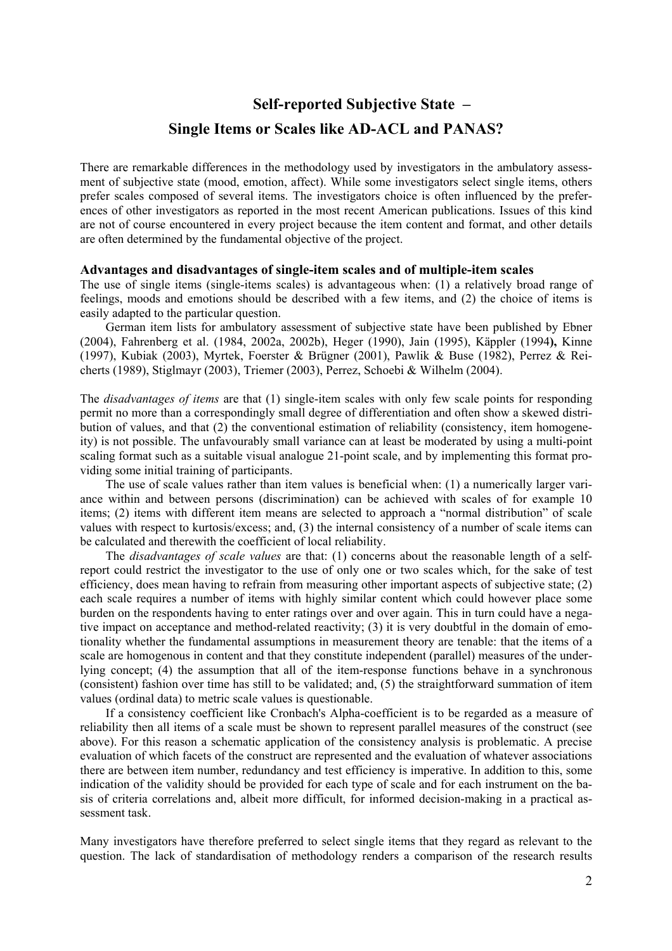**Self-reported Subjective State –** 

# **Single Items or Scales like AD-ACL and PANAS?**

There are remarkable differences in the methodology used by investigators in the ambulatory assessment of subjective state (mood, emotion, affect). While some investigators select single items, others prefer scales composed of several items. The investigators choice is often influenced by the preferences of other investigators as reported in the most recent American publications. Issues of this kind are not of course encountered in every project because the item content and format, and other details are often determined by the fundamental objective of the project.

#### **Advantages and disadvantages of single-item scales and of multiple-item scales**

The use of single items (single-items scales) is advantageous when: (1) a relatively broad range of feelings, moods and emotions should be described with a few items, and (2) the choice of items is easily adapted to the particular question.

German item lists for ambulatory assessment of subjective state have been published by Ebner (2004), Fahrenberg et al. (1984, 2002a, 2002b), Heger (1990), Jain (1995), Käppler (1994**),** Kinne (1997), Kubiak (2003), Myrtek, Foerster & Brügner (2001), Pawlik & Buse (1982), Perrez & Reicherts (1989), Stiglmayr (2003), Triemer (2003), Perrez, Schoebi & Wilhelm (2004).

The *disadvantages of items* are that (1) single-item scales with only few scale points for responding permit no more than a correspondingly small degree of differentiation and often show a skewed distribution of values, and that (2) the conventional estimation of reliability (consistency, item homogeneity) is not possible. The unfavourably small variance can at least be moderated by using a multi-point scaling format such as a suitable visual analogue 21-point scale, and by implementing this format providing some initial training of participants.

The use of scale values rather than item values is beneficial when: (1) a numerically larger variance within and between persons (discrimination) can be achieved with scales of for example 10 items; (2) items with different item means are selected to approach a "normal distribution" of scale values with respect to kurtosis/excess; and, (3) the internal consistency of a number of scale items can be calculated and therewith the coefficient of local reliability.

The *disadvantages of scale values* are that: (1) concerns about the reasonable length of a selfreport could restrict the investigator to the use of only one or two scales which, for the sake of test efficiency, does mean having to refrain from measuring other important aspects of subjective state; (2) each scale requires a number of items with highly similar content which could however place some burden on the respondents having to enter ratings over and over again. This in turn could have a negative impact on acceptance and method-related reactivity; (3) it is very doubtful in the domain of emotionality whether the fundamental assumptions in measurement theory are tenable: that the items of a scale are homogenous in content and that they constitute independent (parallel) measures of the underlying concept; (4) the assumption that all of the item-response functions behave in a synchronous (consistent) fashion over time has still to be validated; and, (5) the straightforward summation of item values (ordinal data) to metric scale values is questionable.

If a consistency coefficient like Cronbach's Alpha-coefficient is to be regarded as a measure of reliability then all items of a scale must be shown to represent parallel measures of the construct (see above). For this reason a schematic application of the consistency analysis is problematic. A precise evaluation of which facets of the construct are represented and the evaluation of whatever associations there are between item number, redundancy and test efficiency is imperative. In addition to this, some indication of the validity should be provided for each type of scale and for each instrument on the basis of criteria correlations and, albeit more difficult, for informed decision-making in a practical assessment task.

Many investigators have therefore preferred to select single items that they regard as relevant to the question. The lack of standardisation of methodology renders a comparison of the research results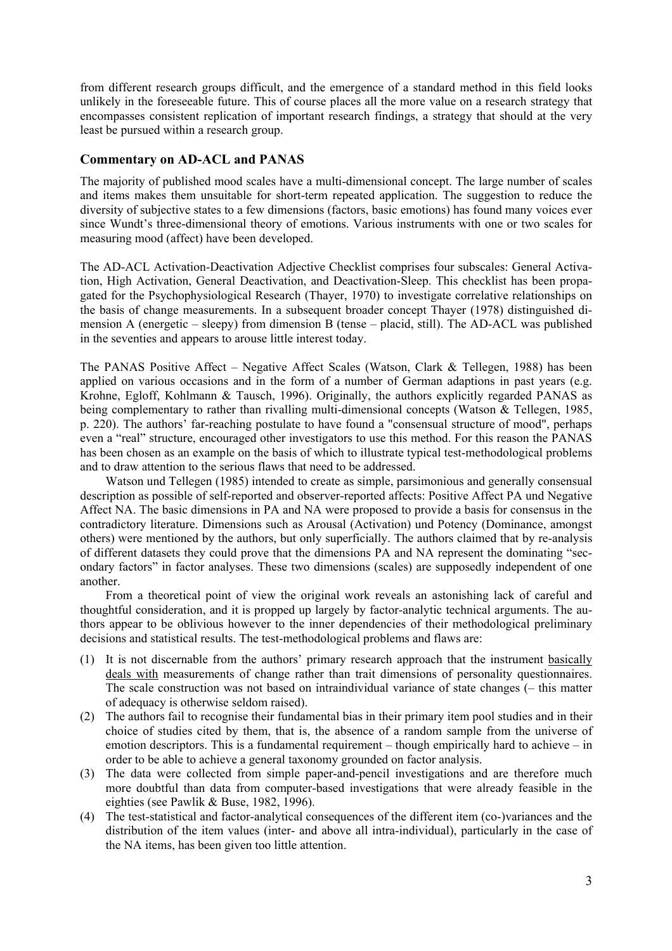from different research groups difficult, and the emergence of a standard method in this field looks unlikely in the foreseeable future. This of course places all the more value on a research strategy that encompasses consistent replication of important research findings, a strategy that should at the very least be pursued within a research group.

## **Commentary on AD-ACL and PANAS**

The majority of published mood scales have a multi-dimensional concept. The large number of scales and items makes them unsuitable for short-term repeated application. The suggestion to reduce the diversity of subjective states to a few dimensions (factors, basic emotions) has found many voices ever since Wundt's three-dimensional theory of emotions. Various instruments with one or two scales for measuring mood (affect) have been developed.

The AD-ACL Activation-Deactivation Adjective Checklist comprises four subscales: General Activation, High Activation, General Deactivation, and Deactivation-Sleep. This checklist has been propagated for the Psychophysiological Research (Thayer, 1970) to investigate correlative relationships on the basis of change measurements. In a subsequent broader concept Thayer (1978) distinguished dimension A (energetic – sleepy) from dimension B (tense – placid, still). The AD-ACL was published in the seventies and appears to arouse little interest today.

The PANAS Positive Affect – Negative Affect Scales (Watson, Clark & Tellegen, 1988) has been applied on various occasions and in the form of a number of German adaptions in past years (e.g. Krohne, Egloff, Kohlmann & Tausch, 1996). Originally, the authors explicitly regarded PANAS as being complementary to rather than rivalling multi-dimensional concepts (Watson  $\&$  Tellegen, 1985, p. 220). The authors' far-reaching postulate to have found a "consensual structure of mood", perhaps even a "real" structure, encouraged other investigators to use this method. For this reason the PANAS has been chosen as an example on the basis of which to illustrate typical test-methodological problems and to draw attention to the serious flaws that need to be addressed.

Watson und Tellegen (1985) intended to create as simple, parsimonious and generally consensual description as possible of self-reported and observer-reported affects: Positive Affect PA und Negative Affect NA. The basic dimensions in PA and NA were proposed to provide a basis for consensus in the contradictory literature. Dimensions such as Arousal (Activation) und Potency (Dominance, amongst others) were mentioned by the authors, but only superficially. The authors claimed that by re-analysis of different datasets they could prove that the dimensions PA and NA represent the dominating "secondary factors" in factor analyses. These two dimensions (scales) are supposedly independent of one another.

From a theoretical point of view the original work reveals an astonishing lack of careful and thoughtful consideration, and it is propped up largely by factor-analytic technical arguments. The authors appear to be oblivious however to the inner dependencies of their methodological preliminary decisions and statistical results. The test-methodological problems and flaws are:

- (1) It is not discernable from the authors' primary research approach that the instrument basically deals with measurements of change rather than trait dimensions of personality questionnaires. The scale construction was not based on intraindividual variance of state changes (– this matter of adequacy is otherwise seldom raised).
- (2) The authors fail to recognise their fundamental bias in their primary item pool studies and in their choice of studies cited by them, that is, the absence of a random sample from the universe of emotion descriptors. This is a fundamental requirement – though empirically hard to achieve – in order to be able to achieve a general taxonomy grounded on factor analysis.
- (3) The data were collected from simple paper-and-pencil investigations and are therefore much more doubtful than data from computer-based investigations that were already feasible in the eighties (see Pawlik & Buse, 1982, 1996).
- (4) The test-statistical and factor-analytical consequences of the different item (co-)variances and the distribution of the item values (inter- and above all intra-individual), particularly in the case of the NA items, has been given too little attention.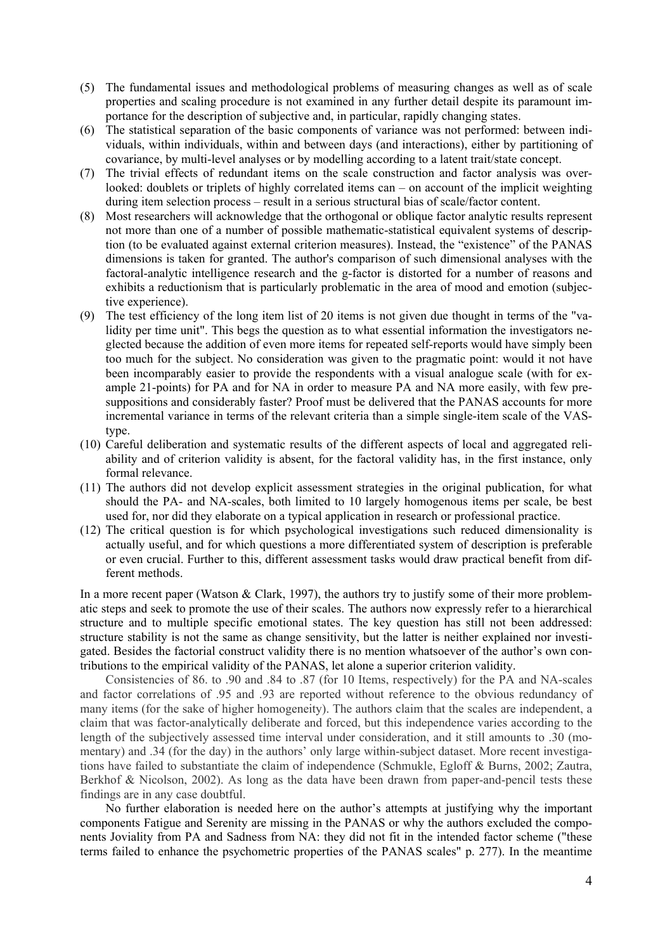- (5) The fundamental issues and methodological problems of measuring changes as well as of scale properties and scaling procedure is not examined in any further detail despite its paramount importance for the description of subjective and, in particular, rapidly changing states.
- (6) The statistical separation of the basic components of variance was not performed: between individuals, within individuals, within and between days (and interactions), either by partitioning of covariance, by multi-level analyses or by modelling according to a latent trait/state concept.
- (7) The trivial effects of redundant items on the scale construction and factor analysis was overlooked: doublets or triplets of highly correlated items can – on account of the implicit weighting during item selection process – result in a serious structural bias of scale/factor content.
- (8) Most researchers will acknowledge that the orthogonal or oblique factor analytic results represent not more than one of a number of possible mathematic-statistical equivalent systems of description (to be evaluated against external criterion measures). Instead, the "existence" of the PANAS dimensions is taken for granted. The author's comparison of such dimensional analyses with the factoral-analytic intelligence research and the g-factor is distorted for a number of reasons and exhibits a reductionism that is particularly problematic in the area of mood and emotion (subjective experience).
- (9) The test efficiency of the long item list of 20 items is not given due thought in terms of the "validity per time unit". This begs the question as to what essential information the investigators neglected because the addition of even more items for repeated self-reports would have simply been too much for the subject. No consideration was given to the pragmatic point: would it not have been incomparably easier to provide the respondents with a visual analogue scale (with for example 21-points) for PA and for NA in order to measure PA and NA more easily, with few presuppositions and considerably faster? Proof must be delivered that the PANAS accounts for more incremental variance in terms of the relevant criteria than a simple single-item scale of the VAStype.
- (10) Careful deliberation and systematic results of the different aspects of local and aggregated reliability and of criterion validity is absent, for the factoral validity has, in the first instance, only formal relevance.
- (11) The authors did not develop explicit assessment strategies in the original publication, for what should the PA- and NA-scales, both limited to 10 largely homogenous items per scale, be best used for, nor did they elaborate on a typical application in research or professional practice.
- (12) The critical question is for which psychological investigations such reduced dimensionality is actually useful, and for which questions a more differentiated system of description is preferable or even crucial. Further to this, different assessment tasks would draw practical benefit from different methods.

In a more recent paper (Watson & Clark, 1997), the authors try to justify some of their more problematic steps and seek to promote the use of their scales. The authors now expressly refer to a hierarchical structure and to multiple specific emotional states. The key question has still not been addressed: structure stability is not the same as change sensitivity, but the latter is neither explained nor investigated. Besides the factorial construct validity there is no mention whatsoever of the author's own contributions to the empirical validity of the PANAS, let alone a superior criterion validity.

Consistencies of 86. to .90 and .84 to .87 (for 10 Items, respectively) for the PA and NA-scales and factor correlations of .95 and .93 are reported without reference to the obvious redundancy of many items (for the sake of higher homogeneity). The authors claim that the scales are independent, a claim that was factor-analytically deliberate and forced, but this independence varies according to the length of the subjectively assessed time interval under consideration, and it still amounts to .30 (momentary) and .34 (for the day) in the authors' only large within-subject dataset. More recent investigations have failed to substantiate the claim of independence (Schmukle, Egloff & Burns, 2002; Zautra, Berkhof & Nicolson, 2002). As long as the data have been drawn from paper-and-pencil tests these findings are in any case doubtful.

No further elaboration is needed here on the author's attempts at justifying why the important components Fatigue and Serenity are missing in the PANAS or why the authors excluded the components Joviality from PA and Sadness from NA: they did not fit in the intended factor scheme ("these terms failed to enhance the psychometric properties of the PANAS scales" p. 277). In the meantime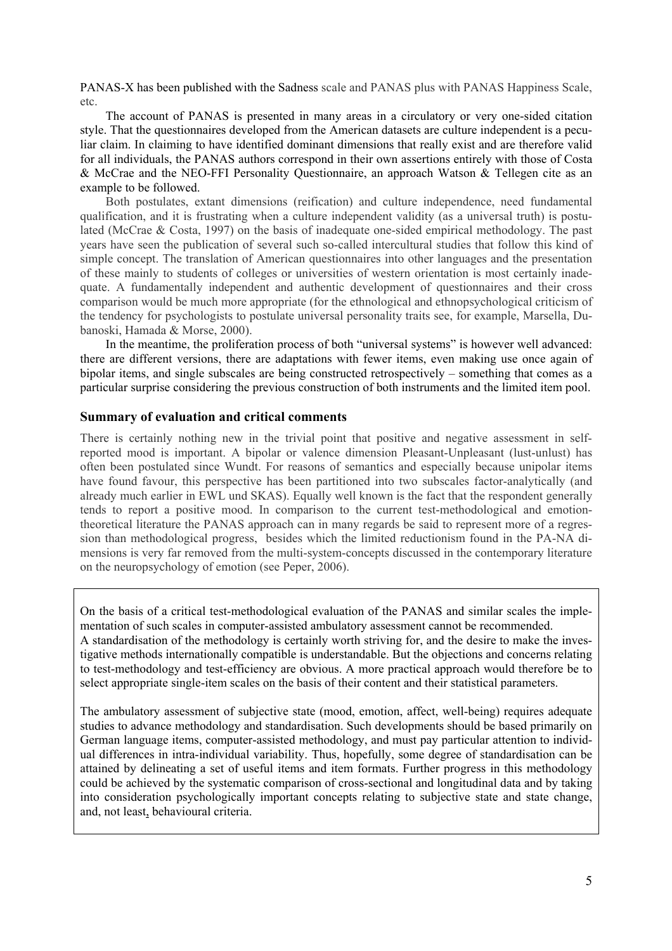PANAS-X has been published with the Sadness scale and PANAS plus with PANAS Happiness Scale, etc.

The account of PANAS is presented in many areas in a circulatory or very one-sided citation style. That the questionnaires developed from the American datasets are culture independent is a peculiar claim. In claiming to have identified dominant dimensions that really exist and are therefore valid for all individuals, the PANAS authors correspond in their own assertions entirely with those of Costa & McCrae and the NEO-FFI Personality Questionnaire, an approach Watson & Tellegen cite as an example to be followed.

Both postulates, extant dimensions (reification) and culture independence, need fundamental qualification, and it is frustrating when a culture independent validity (as a universal truth) is postulated (McCrae & Costa, 1997) on the basis of inadequate one-sided empirical methodology. The past years have seen the publication of several such so-called intercultural studies that follow this kind of simple concept. The translation of American questionnaires into other languages and the presentation of these mainly to students of colleges or universities of western orientation is most certainly inadequate. A fundamentally independent and authentic development of questionnaires and their cross comparison would be much more appropriate (for the ethnological and ethnopsychological criticism of the tendency for psychologists to postulate universal personality traits see, for example, Marsella, Dubanoski, Hamada & Morse, 2000).

In the meantime, the proliferation process of both "universal systems" is however well advanced: there are different versions, there are adaptations with fewer items, even making use once again of bipolar items, and single subscales are being constructed retrospectively – something that comes as a particular surprise considering the previous construction of both instruments and the limited item pool.

## **Summary of evaluation and critical comments**

There is certainly nothing new in the trivial point that positive and negative assessment in selfreported mood is important. A bipolar or valence dimension Pleasant-Unpleasant (lust-unlust) has often been postulated since Wundt. For reasons of semantics and especially because unipolar items have found favour, this perspective has been partitioned into two subscales factor-analytically (and already much earlier in EWL und SKAS). Equally well known is the fact that the respondent generally tends to report a positive mood. In comparison to the current test-methodological and emotiontheoretical literature the PANAS approach can in many regards be said to represent more of a regression than methodological progress, besides which the limited reductionism found in the PA-NA dimensions is very far removed from the multi-system-concepts discussed in the contemporary literature on the neuropsychology of emotion (see Peper, 2006).

On the basis of a critical test-methodological evaluation of the PANAS and similar scales the implementation of such scales in computer-assisted ambulatory assessment cannot be recommended. A standardisation of the methodology is certainly worth striving for, and the desire to make the investigative methods internationally compatible is understandable. But the objections and concerns relating to test-methodology and test-efficiency are obvious. A more practical approach would therefore be to select appropriate single-item scales on the basis of their content and their statistical parameters.

The ambulatory assessment of subjective state (mood, emotion, affect, well-being) requires adequate studies to advance methodology and standardisation. Such developments should be based primarily on German language items, computer-assisted methodology, and must pay particular attention to individual differences in intra-individual variability. Thus, hopefully, some degree of standardisation can be attained by delineating a set of useful items and item formats. Further progress in this methodology could be achieved by the systematic comparison of cross-sectional and longitudinal data and by taking into consideration psychologically important concepts relating to subjective state and state change, and, not least, behavioural criteria.